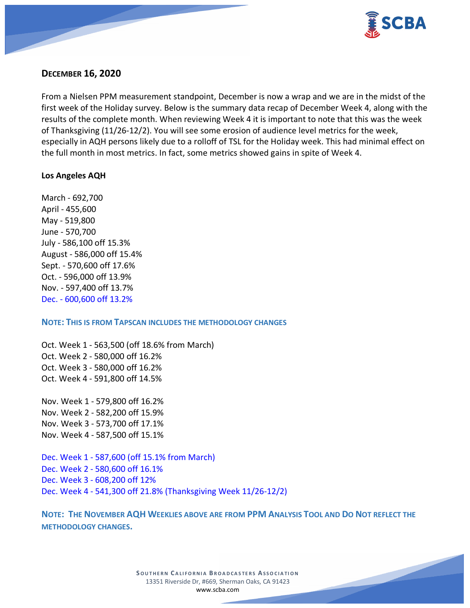

# **DECEMBER 16, 2020**

From a Nielsen PPM measurement standpoint, December is now a wrap and we are in the midst of the first week of the Holiday survey. Below is the summary data recap of December Week 4, along with the results of the complete month. When reviewing Week 4 it is important to note that this was the week of Thanksgiving (11/26-12/2). You will see some erosion of audience level metrics for the week, especially in AQH persons likely due to a rolloff of TSL for the Holiday week. This had minimal effect on the full month in most metrics. In fact, some metrics showed gains in spite of Week 4.

## **Los Angeles AQH**

March - 692,700 April - 455,600 May - 519,800 June - 570,700 July - 586,100 off 15.3% August - 586,000 off 15.4% Sept. - 570,600 off 17.6% Oct. - 596,000 off 13.9% Nov. - 597,400 off 13.7% Dec. - 600,600 off 13.2%

#### **NOTE: THIS IS FROM TAPSCAN INCLUDES THE METHODOLOGY CHANGES**

Oct. Week 1 - 563,500 (off 18.6% from March) Oct. Week 2 - 580,000 off 16.2% Oct. Week 3 - 580,000 off 16.2% Oct. Week 4 - 591,800 off 14.5%

Nov. Week 1 - 579,800 off 16.2% Nov. Week 2 - 582,200 off 15.9% Nov. Week 3 - 573,700 off 17.1% Nov. Week 4 - 587,500 off 15.1%

Dec. Week 1 - 587,600 (off 15.1% from March) Dec. Week 2 - 580,600 off 16.1% Dec. Week 3 - 608,200 off 12% Dec. Week 4 - 541,300 off 21.8% (Thanksgiving Week 11/26-12/2)

**NOTE: THE NOVEMBER AQH WEEKLIES ABOVE ARE FROM PPM ANALYSIS TOOL AND DO NOT REFLECT THE METHODOLOGY CHANGES.**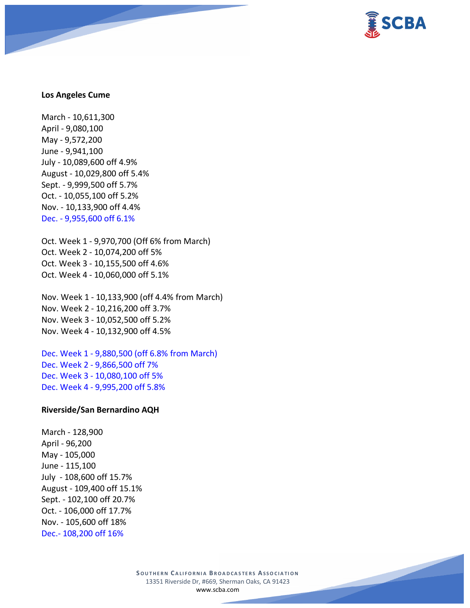

#### **Los Angeles Cume**

March - 10,611,300 April - 9,080,100 May - 9,572,200 June - 9,941,100 July - 10,089,600 off 4.9% August - 10,029,800 off 5.4% Sept. - 9,999,500 off 5.7% Oct. - 10,055,100 off 5.2% Nov. - 10,133,900 off 4.4% Dec. - 9,955,600 off 6.1%

Oct. Week 1 - 9,970,700 (Off 6% from March) Oct. Week 2 - 10,074,200 off 5% Oct. Week 3 - 10,155,500 off 4.6% Oct. Week 4 - 10,060,000 off 5.1%

Nov. Week 1 - 10,133,900 (off 4.4% from March) Nov. Week 2 - 10,216,200 off 3.7% Nov. Week 3 - 10,052,500 off 5.2% Nov. Week 4 - 10,132,900 off 4.5%

Dec. Week 1 - 9,880,500 (off 6.8% from March) Dec. Week 2 - 9,866,500 off 7% Dec. Week 3 - 10,080,100 off 5% Dec. Week 4 - 9,995,200 off 5.8%

#### **Riverside/San Bernardino AQH**

March - 128,900 April - 96,200 May - 105,000 June - 115,100 July - 108,600 off 15.7% August - 109,400 off 15.1% Sept. - 102,100 off 20.7% Oct. - 106,000 off 17.7% Nov. - 105,600 off 18% Dec.- 108,200 off 16%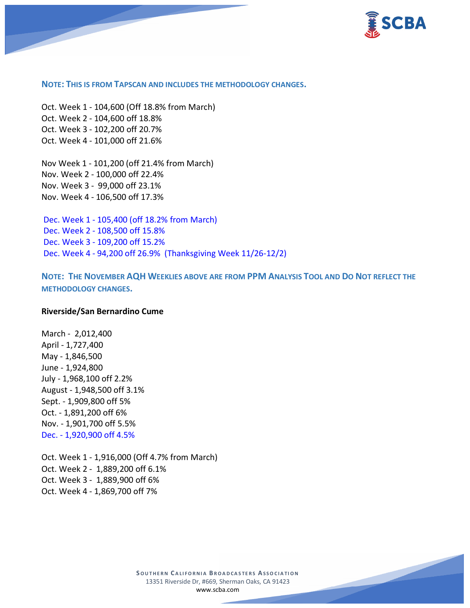

#### **NOTE: THIS IS FROM TAPSCAN AND INCLUDES THE METHODOLOGY CHANGES.**

Oct. Week 1 - 104,600 (Off 18.8% from March) Oct. Week 2 - 104,600 off 18.8% Oct. Week 3 - 102,200 off 20.7% Oct. Week 4 - 101,000 off 21.6%

Nov Week 1 - 101,200 (off 21.4% from March) Nov. Week 2 - 100,000 off 22.4% Nov. Week 3 - 99,000 off 23.1% Nov. Week 4 - 106,500 off 17.3%

Dec. Week 1 - 105,400 (off 18.2% from March) Dec. Week 2 - 108,500 off 15.8% Dec. Week 3 - 109,200 off 15.2% Dec. Week 4 - 94,200 off 26.9% (Thanksgiving Week 11/26-12/2)

**NOTE: THE NOVEMBER AQH WEEKLIES ABOVE ARE FROM PPM ANALYSIS TOOL AND DO NOT REFLECT THE METHODOLOGY CHANGES.**

#### **Riverside/San Bernardino Cume**

March - 2,012,400 April - 1,727,400 May - 1,846,500 June - 1,924,800 July - 1,968,100 off 2.2% August - 1,948,500 off 3.1% Sept. - 1,909,800 off 5% Oct. - 1,891,200 off 6% Nov. - 1,901,700 off 5.5% Dec. - 1,920,900 off 4.5%

Oct. Week 1 - 1,916,000 (Off 4.7% from March) Oct. Week 2 - 1,889,200 off 6.1% Oct. Week 3 - 1,889,900 off 6% Oct. Week 4 - 1,869,700 off 7%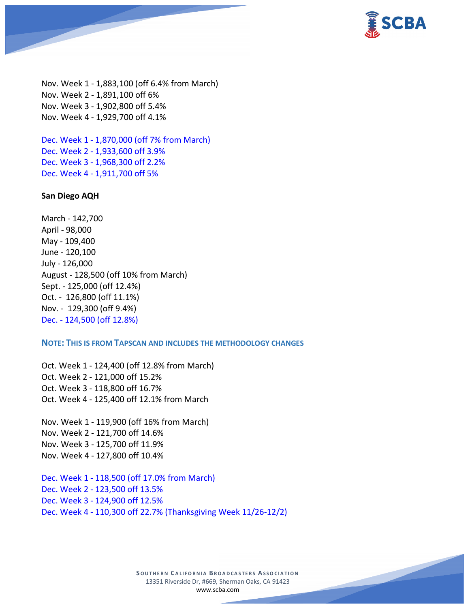

Nov. Week 1 - 1,883,100 (off 6.4% from March) Nov. Week 2 - 1,891,100 off 6% Nov. Week 3 - 1,902,800 off 5.4% Nov. Week 4 - 1,929,700 off 4.1%

Dec. Week 1 - 1,870,000 (off 7% from March) Dec. Week 2 - 1,933,600 off 3.9% Dec. Week 3 - 1,968,300 off 2.2% Dec. Week 4 - 1,911,700 off 5%

#### **San Diego AQH**

March - 142,700 April - 98,000 May - 109,400 June - 120,100 July - 126,000 August - 128,500 (off 10% from March) Sept. - 125,000 (off 12.4%) Oct. - 126,800 (off 11.1%) Nov. - 129,300 (off 9.4%) Dec. - 124,500 (off 12.8%)

#### **NOTE: THIS IS FROM TAPSCAN AND INCLUDES THE METHODOLOGY CHANGES**

Oct. Week 1 - 124,400 (off 12.8% from March) Oct. Week 2 - 121,000 off 15.2% Oct. Week 3 - 118,800 off 16.7% Oct. Week 4 - 125,400 off 12.1% from March

Nov. Week 1 - 119,900 (off 16% from March) Nov. Week 2 - 121,700 off 14.6% Nov. Week 3 - 125,700 off 11.9% Nov. Week 4 - 127,800 off 10.4%

Dec. Week 1 - 118,500 (off 17.0% from March) Dec. Week 2 - 123,500 off 13.5% Dec. Week 3 - 124,900 off 12.5% Dec. Week 4 - 110,300 off 22.7% (Thanksgiving Week 11/26-12/2)

> **S OUTHERN C ALIFORNIA B ROADCASTERS ASSOCIATION** 13351 Riverside Dr, #669, Sherman Oaks, CA 91423 [www.scba.com](http://www.scba.com/)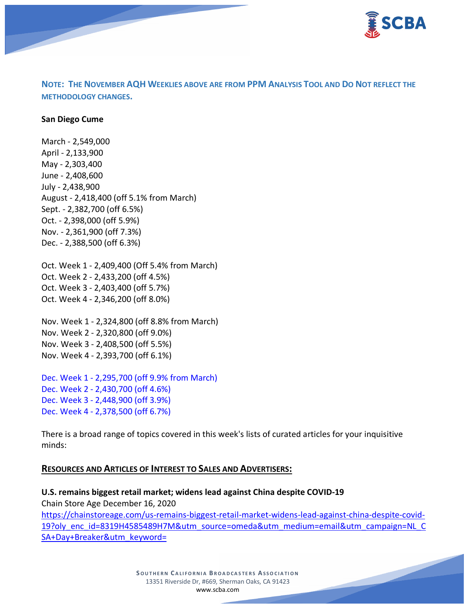

# **NOTE: THE NOVEMBER AQH WEEKLIES ABOVE ARE FROM PPM ANALYSIS TOOL AND DO NOT REFLECT THE METHODOLOGY CHANGES.**

#### **San Diego Cume**

March - 2,549,000 April - 2,133,900 May - 2,303,400 June - 2,408,600 July - 2,438,900 August - 2,418,400 (off 5.1% from March) Sept. - 2,382,700 (off 6.5%) Oct. - 2,398,000 (off 5.9%) Nov. - 2,361,900 (off 7.3%) Dec. - 2,388,500 (off 6.3%)

Oct. Week 1 - 2,409,400 (Off 5.4% from March) Oct. Week 2 - 2,433,200 (off 4.5%) Oct. Week 3 - 2,403,400 (off 5.7%) Oct. Week 4 - 2,346,200 (off 8.0%)

Nov. Week 1 - 2,324,800 (off 8.8% from March) Nov. Week 2 - 2,320,800 (off 9.0%) Nov. Week 3 - 2,408,500 (off 5.5%) Nov. Week 4 - 2,393,700 (off 6.1%)

Dec. Week 1 - 2,295,700 (off 9.9% from March) Dec. Week 2 - 2,430,700 (off 4.6%) Dec. Week 3 - 2,448,900 (off 3.9%) Dec. Week 4 - 2,378,500 (off 6.7%)

There is a broad range of topics covered in this week's lists of curated articles for your inquisitive minds:

## **RESOURCES AND ARTICLES OF INTEREST TO SALES AND ADVERTISERS:**

**U.S. remains biggest retail market; widens lead against China despite COVID-19** Chain Store Age December 16, 2020 [https://chainstoreage.com/us-remains-biggest-retail-market-widens-lead-against-china-despite-covid-](https://chainstoreage.com/us-remains-biggest-retail-market-widens-lead-against-china-despite-covid-19?oly_enc_id=8319H4585489H7M&utm_source=omeda&utm_medium=email&utm_campaign=NL_CSA+Day+Breaker&utm_keyword=)[19?oly\\_enc\\_id=8319H4585489H7M&utm\\_source=omeda&utm\\_medium=email&utm\\_campaign=NL\\_C](https://chainstoreage.com/us-remains-biggest-retail-market-widens-lead-against-china-despite-covid-19?oly_enc_id=8319H4585489H7M&utm_source=omeda&utm_medium=email&utm_campaign=NL_CSA+Day+Breaker&utm_keyword=) [SA+Day+Breaker&utm\\_keyword=](https://chainstoreage.com/us-remains-biggest-retail-market-widens-lead-against-china-despite-covid-19?oly_enc_id=8319H4585489H7M&utm_source=omeda&utm_medium=email&utm_campaign=NL_CSA+Day+Breaker&utm_keyword=)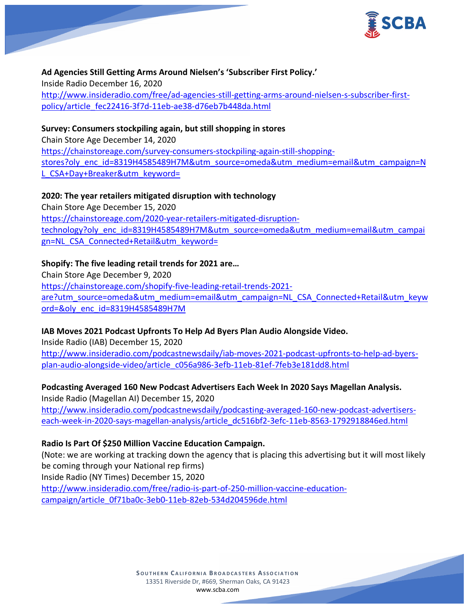

# **Ad Agencies Still Getting Arms Around Nielsen's 'Subscriber First Policy.'** Inside Radio December 16, 2020 [http://www.insideradio.com/free/ad-agencies-still-getting-arms-around-nielsen-s-subscriber-first](http://www.insideradio.com/free/ad-agencies-still-getting-arms-around-nielsen-s-subscriber-first-policy/article_fec22416-3f7d-11eb-ae38-d76eb7b448da.html)[policy/article\\_fec22416-3f7d-11eb-ae38-d76eb7b448da.html](http://www.insideradio.com/free/ad-agencies-still-getting-arms-around-nielsen-s-subscriber-first-policy/article_fec22416-3f7d-11eb-ae38-d76eb7b448da.html)

# **Survey: Consumers stockpiling again, but still shopping in stores**

Chain Store Age December 14, 2020 [https://chainstoreage.com/survey-consumers-stockpiling-again-still-shopping](https://chainstoreage.com/survey-consumers-stockpiling-again-still-shopping-stores?oly_enc_id=8319H4585489H7M&utm_source=omeda&utm_medium=email&utm_campaign=NL_CSA+Day+Breaker&utm_keyword=)[stores?oly\\_enc\\_id=8319H4585489H7M&utm\\_source=omeda&utm\\_medium=email&utm\\_campaign=N](https://chainstoreage.com/survey-consumers-stockpiling-again-still-shopping-stores?oly_enc_id=8319H4585489H7M&utm_source=omeda&utm_medium=email&utm_campaign=NL_CSA+Day+Breaker&utm_keyword=) [L\\_CSA+Day+Breaker&utm\\_keyword=](https://chainstoreage.com/survey-consumers-stockpiling-again-still-shopping-stores?oly_enc_id=8319H4585489H7M&utm_source=omeda&utm_medium=email&utm_campaign=NL_CSA+Day+Breaker&utm_keyword=)

## **2020: The year retailers mitigated disruption with technology**

Chain Store Age December 15, 2020 [https://chainstoreage.com/2020-year-retailers-mitigated-disruption](https://chainstoreage.com/2020-year-retailers-mitigated-disruption-technology?oly_enc_id=8319H4585489H7M&utm_source=omeda&utm_medium=email&utm_campaign=NL_CSA_Connected+Retail&utm_keyword=)[technology?oly\\_enc\\_id=8319H4585489H7M&utm\\_source=omeda&utm\\_medium=email&utm\\_campai](https://chainstoreage.com/2020-year-retailers-mitigated-disruption-technology?oly_enc_id=8319H4585489H7M&utm_source=omeda&utm_medium=email&utm_campaign=NL_CSA_Connected+Retail&utm_keyword=) [gn=NL\\_CSA\\_Connected+Retail&utm\\_keyword=](https://chainstoreage.com/2020-year-retailers-mitigated-disruption-technology?oly_enc_id=8319H4585489H7M&utm_source=omeda&utm_medium=email&utm_campaign=NL_CSA_Connected+Retail&utm_keyword=)

## **Shopify: The five leading retail trends for 2021 are…**

Chain Store Age December 9, 2020 [https://chainstoreage.com/shopify-five-leading-retail-trends-2021](https://chainstoreage.com/shopify-five-leading-retail-trends-2021-are?utm_source=omeda&utm_medium=email&utm_campaign=NL_CSA_Connected+Retail&utm_keyword=&oly_enc_id=8319H4585489H7M) [are?utm\\_source=omeda&utm\\_medium=email&utm\\_campaign=NL\\_CSA\\_Connected+Retail&utm\\_keyw](https://chainstoreage.com/shopify-five-leading-retail-trends-2021-are?utm_source=omeda&utm_medium=email&utm_campaign=NL_CSA_Connected+Retail&utm_keyword=&oly_enc_id=8319H4585489H7M) [ord=&oly\\_enc\\_id=8319H4585489H7M](https://chainstoreage.com/shopify-five-leading-retail-trends-2021-are?utm_source=omeda&utm_medium=email&utm_campaign=NL_CSA_Connected+Retail&utm_keyword=&oly_enc_id=8319H4585489H7M)

## **IAB Moves 2021 Podcast Upfronts To Help Ad Byers Plan Audio Alongside Video.**

Inside Radio (IAB) December 15, 2020 [http://www.insideradio.com/podcastnewsdaily/iab-moves-2021-podcast-upfronts-to-help-ad-byers](http://www.insideradio.com/podcastnewsdaily/iab-moves-2021-podcast-upfronts-to-help-ad-byers-plan-audio-alongside-video/article_c056a986-3efb-11eb-81ef-7feb3e181dd8.html)[plan-audio-alongside-video/article\\_c056a986-3efb-11eb-81ef-7feb3e181dd8.html](http://www.insideradio.com/podcastnewsdaily/iab-moves-2021-podcast-upfronts-to-help-ad-byers-plan-audio-alongside-video/article_c056a986-3efb-11eb-81ef-7feb3e181dd8.html)

**Podcasting Averaged 160 New Podcast Advertisers Each Week In 2020 Says Magellan Analysis.** Inside Radio (Magellan AI) December 15, 2020 [http://www.insideradio.com/podcastnewsdaily/podcasting-averaged-160-new-podcast-advertisers-](http://www.insideradio.com/podcastnewsdaily/podcasting-averaged-160-new-podcast-advertisers-each-week-in-2020-says-magellan-analysis/article_dc516bf2-3efc-11eb-8563-1792918846ed.html)

# [each-week-in-2020-says-magellan-analysis/article\\_dc516bf2-3efc-11eb-8563-1792918846ed.html](http://www.insideradio.com/podcastnewsdaily/podcasting-averaged-160-new-podcast-advertisers-each-week-in-2020-says-magellan-analysis/article_dc516bf2-3efc-11eb-8563-1792918846ed.html)

## **Radio Is Part Of \$250 Million Vaccine Education Campaign.**

(Note: we are working at tracking down the agency that is placing this advertising but it will most likely be coming through your National rep firms)

Inside Radio (NY Times) December 15, 2020

[http://www.insideradio.com/free/radio-is-part-of-250-million-vaccine-education](http://www.insideradio.com/free/radio-is-part-of-250-million-vaccine-education-campaign/article_0f71ba0c-3eb0-11eb-82eb-534d204596de.html)[campaign/article\\_0f71ba0c-3eb0-11eb-82eb-534d204596de.html](http://www.insideradio.com/free/radio-is-part-of-250-million-vaccine-education-campaign/article_0f71ba0c-3eb0-11eb-82eb-534d204596de.html)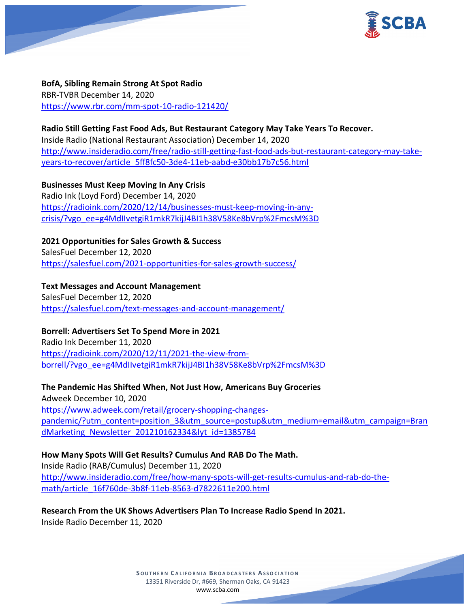

**BofA, Sibling Remain Strong At Spot Radio** RBR-TVBR December 14, 2020 <https://www.rbr.com/mm-spot-10-radio-121420/>

## **Radio Still Getting Fast Food Ads, But Restaurant Category May Take Years To Recover.**

Inside Radio (National Restaurant Association) December 14, 2020 [http://www.insideradio.com/free/radio-still-getting-fast-food-ads-but-restaurant-category-may-take](http://www.insideradio.com/free/radio-still-getting-fast-food-ads-but-restaurant-category-may-take-years-to-recover/article_5ff8fc50-3de4-11eb-aabd-e30bb17b7c56.html)[years-to-recover/article\\_5ff8fc50-3de4-11eb-aabd-e30bb17b7c56.html](http://www.insideradio.com/free/radio-still-getting-fast-food-ads-but-restaurant-category-may-take-years-to-recover/article_5ff8fc50-3de4-11eb-aabd-e30bb17b7c56.html)

**Businesses Must Keep Moving In Any Crisis** Radio Ink (Loyd Ford) December 14, 2020 [https://radioink.com/2020/12/14/businesses-must-keep-moving-in-any](https://radioink.com/2020/12/14/businesses-must-keep-moving-in-any-crisis/?vgo_ee=g4MdIIvetgiR1mkR7kijJ4BI1h38V58Ke8bVrp%2FmcsM%3D)[crisis/?vgo\\_ee=g4MdIIvetgiR1mkR7kijJ4BI1h38V58Ke8bVrp%2FmcsM%3D](https://radioink.com/2020/12/14/businesses-must-keep-moving-in-any-crisis/?vgo_ee=g4MdIIvetgiR1mkR7kijJ4BI1h38V58Ke8bVrp%2FmcsM%3D)

**2021 Opportunities for Sales Growth & Success** SalesFuel December 12, 2020 <https://salesfuel.com/2021-opportunities-for-sales-growth-success/>

## **Text Messages and Account Management**

SalesFuel December 12, 2020 <https://salesfuel.com/text-messages-and-account-management/>

# **Borrell: Advertisers Set To Spend More in 2021**

Radio Ink December 11, 2020 [https://radioink.com/2020/12/11/2021-the-view-from](https://radioink.com/2020/12/11/2021-the-view-from-borrell/?vgo_ee=g4MdIIvetgiR1mkR7kijJ4BI1h38V58Ke8bVrp%2FmcsM%3D)[borrell/?vgo\\_ee=g4MdIIvetgiR1mkR7kijJ4BI1h38V58Ke8bVrp%2FmcsM%3D](https://radioink.com/2020/12/11/2021-the-view-from-borrell/?vgo_ee=g4MdIIvetgiR1mkR7kijJ4BI1h38V58Ke8bVrp%2FmcsM%3D)

# **The Pandemic Has Shifted When, Not Just How, Americans Buy Groceries**

Adweek December 10, 2020 [https://www.adweek.com/retail/grocery-shopping-changes](https://www.adweek.com/retail/grocery-shopping-changes-pandemic/?utm_content=position_3&utm_source=postup&utm_medium=email&utm_campaign=BrandMarketing_Newsletter_201210162334&lyt_id=1385784)[pandemic/?utm\\_content=position\\_3&utm\\_source=postup&utm\\_medium=email&utm\\_campaign=Bran](https://www.adweek.com/retail/grocery-shopping-changes-pandemic/?utm_content=position_3&utm_source=postup&utm_medium=email&utm_campaign=BrandMarketing_Newsletter_201210162334&lyt_id=1385784) [dMarketing\\_Newsletter\\_201210162334&lyt\\_id=1385784](https://www.adweek.com/retail/grocery-shopping-changes-pandemic/?utm_content=position_3&utm_source=postup&utm_medium=email&utm_campaign=BrandMarketing_Newsletter_201210162334&lyt_id=1385784)

**How Many Spots Will Get Results? Cumulus And RAB Do The Math.** Inside Radio (RAB/Cumulus) December 11, 2020 [http://www.insideradio.com/free/how-many-spots-will-get-results-cumulus-and-rab-do-the](http://www.insideradio.com/free/how-many-spots-will-get-results-cumulus-and-rab-do-the-math/article_16f760de-3b8f-11eb-8563-d7822611e200.html)[math/article\\_16f760de-3b8f-11eb-8563-d7822611e200.html](http://www.insideradio.com/free/how-many-spots-will-get-results-cumulus-and-rab-do-the-math/article_16f760de-3b8f-11eb-8563-d7822611e200.html)

**Research From the UK Shows Advertisers Plan To Increase Radio Spend In 2021.** Inside Radio December 11, 2020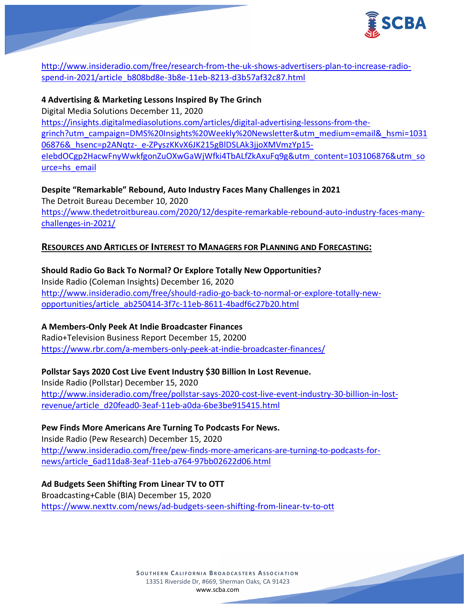

[http://www.insideradio.com/free/research-from-the-uk-shows-advertisers-plan-to-increase-radio](http://www.insideradio.com/free/research-from-the-uk-shows-advertisers-plan-to-increase-radio-spend-in-2021/article_b808bd8e-3b8e-11eb-8213-d3b57af32c87.html)[spend-in-2021/article\\_b808bd8e-3b8e-11eb-8213-d3b57af32c87.html](http://www.insideradio.com/free/research-from-the-uk-shows-advertisers-plan-to-increase-radio-spend-in-2021/article_b808bd8e-3b8e-11eb-8213-d3b57af32c87.html)

## **4 Advertising & Marketing Lessons Inspired By The Grinch**

Digital Media Solutions December 11, 2020

[https://insights.digitalmediasolutions.com/articles/digital-advertising-lessons-from-the](https://insights.digitalmediasolutions.com/articles/digital-advertising-lessons-from-the-grinch?utm_campaign=DMS%20Insights%20Weekly%20Newsletter&utm_medium=email&_hsmi=103106876&_hsenc=p2ANqtz-_e-ZPyszKKvX6JK215gBlDSLAk3jjoXMVmzYp15-eIebdOCgp2HacwFnyWwkfgonZuOXwGaWjWfki4TbALfZkAxuFq9g&utm_content=103106876&utm_source=hs_email)[grinch?utm\\_campaign=DMS%20Insights%20Weekly%20Newsletter&utm\\_medium=email&\\_hsmi=1031](https://insights.digitalmediasolutions.com/articles/digital-advertising-lessons-from-the-grinch?utm_campaign=DMS%20Insights%20Weekly%20Newsletter&utm_medium=email&_hsmi=103106876&_hsenc=p2ANqtz-_e-ZPyszKKvX6JK215gBlDSLAk3jjoXMVmzYp15-eIebdOCgp2HacwFnyWwkfgonZuOXwGaWjWfki4TbALfZkAxuFq9g&utm_content=103106876&utm_source=hs_email) 06876& hsenc=p2ANqtz-\_e-ZPyszKKvX6JK215gBlDSLAk3jjoXMVmzYp15[eIebdOCgp2HacwFnyWwkfgonZuOXwGaWjWfki4TbALfZkAxuFq9g&utm\\_content=103106876&utm\\_so](https://insights.digitalmediasolutions.com/articles/digital-advertising-lessons-from-the-grinch?utm_campaign=DMS%20Insights%20Weekly%20Newsletter&utm_medium=email&_hsmi=103106876&_hsenc=p2ANqtz-_e-ZPyszKKvX6JK215gBlDSLAk3jjoXMVmzYp15-eIebdOCgp2HacwFnyWwkfgonZuOXwGaWjWfki4TbALfZkAxuFq9g&utm_content=103106876&utm_source=hs_email) [urce=hs\\_email](https://insights.digitalmediasolutions.com/articles/digital-advertising-lessons-from-the-grinch?utm_campaign=DMS%20Insights%20Weekly%20Newsletter&utm_medium=email&_hsmi=103106876&_hsenc=p2ANqtz-_e-ZPyszKKvX6JK215gBlDSLAk3jjoXMVmzYp15-eIebdOCgp2HacwFnyWwkfgonZuOXwGaWjWfki4TbALfZkAxuFq9g&utm_content=103106876&utm_source=hs_email)

## **Despite "Remarkable" Rebound, Auto Industry Faces Many Challenges in 2021**

The Detroit Bureau December 10, 2020 [https://www.thedetroitbureau.com/2020/12/despite-remarkable-rebound-auto-industry-faces-many](https://www.thedetroitbureau.com/2020/12/despite-remarkable-rebound-auto-industry-faces-many-challenges-in-2021/)[challenges-in-2021/](https://www.thedetroitbureau.com/2020/12/despite-remarkable-rebound-auto-industry-faces-many-challenges-in-2021/)

## **RESOURCES AND ARTICLES OF INTEREST TO MANAGERS FOR PLANNING AND FORECASTING:**

**Should Radio Go Back To Normal? Or Explore Totally New Opportunities?** Inside Radio (Coleman Insights) December 16, 2020 [http://www.insideradio.com/free/should-radio-go-back-to-normal-or-explore-totally-new](http://www.insideradio.com/free/should-radio-go-back-to-normal-or-explore-totally-new-opportunities/article_ab250414-3f7c-11eb-8611-4badf6c27b20.html)[opportunities/article\\_ab250414-3f7c-11eb-8611-4badf6c27b20.html](http://www.insideradio.com/free/should-radio-go-back-to-normal-or-explore-totally-new-opportunities/article_ab250414-3f7c-11eb-8611-4badf6c27b20.html)

## **A Members-Only Peek At Indie Broadcaster Finances**

Radio+Television Business Report December 15, 20200 <https://www.rbr.com/a-members-only-peek-at-indie-broadcaster-finances/>

# **Pollstar Says 2020 Cost Live Event Industry \$30 Billion In Lost Revenue.**

Inside Radio (Pollstar) December 15, 2020 [http://www.insideradio.com/free/pollstar-says-2020-cost-live-event-industry-30-billion-in-lost](http://www.insideradio.com/free/pollstar-says-2020-cost-live-event-industry-30-billion-in-lost-revenue/article_d20fead0-3eaf-11eb-a0da-6be3be915415.html)[revenue/article\\_d20fead0-3eaf-11eb-a0da-6be3be915415.html](http://www.insideradio.com/free/pollstar-says-2020-cost-live-event-industry-30-billion-in-lost-revenue/article_d20fead0-3eaf-11eb-a0da-6be3be915415.html)

## **Pew Finds More Americans Are Turning To Podcasts For News.**

Inside Radio (Pew Research) December 15, 2020 [http://www.insideradio.com/free/pew-finds-more-americans-are-turning-to-podcasts-for](http://www.insideradio.com/free/pew-finds-more-americans-are-turning-to-podcasts-for-news/article_6ad11da8-3eaf-11eb-a764-97bb02622d06.html)[news/article\\_6ad11da8-3eaf-11eb-a764-97bb02622d06.html](http://www.insideradio.com/free/pew-finds-more-americans-are-turning-to-podcasts-for-news/article_6ad11da8-3eaf-11eb-a764-97bb02622d06.html)

# **Ad Budgets Seen Shifting From Linear TV to OTT** Broadcasting+Cable (BIA) December 15, 2020 <https://www.nexttv.com/news/ad-budgets-seen-shifting-from-linear-tv-to-ott>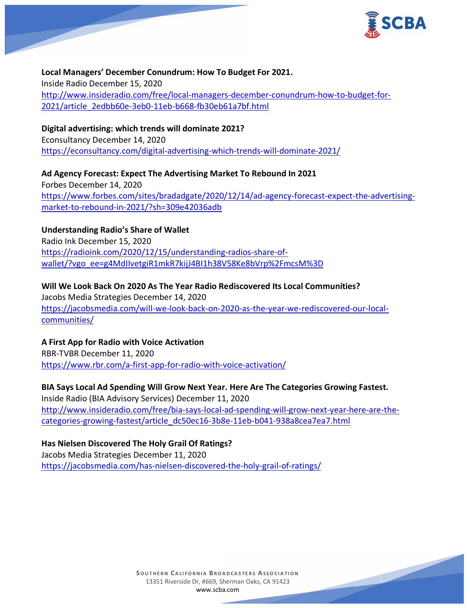

**Local Managers' December Conundrum: How To Budget For 2021.** Inside Radio December 15, 2020 [http://www.insideradio.com/free/local-managers-december-conundrum-how-to-budget-for-](http://www.insideradio.com/free/local-managers-december-conundrum-how-to-budget-for-2021/article_2edbb60e-3eb0-11eb-b668-fb30eb61a7bf.html)[2021/article\\_2edbb60e-3eb0-11eb-b668-fb30eb61a7bf.html](http://www.insideradio.com/free/local-managers-december-conundrum-how-to-budget-for-2021/article_2edbb60e-3eb0-11eb-b668-fb30eb61a7bf.html)

## **Digital advertising: which trends will dominate 2021?**

Econsultancy December 14, 2020 <https://econsultancy.com/digital-advertising-which-trends-will-dominate-2021/>

**Ad Agency Forecast: Expect The Advertising Market To Rebound In 2021** Forbes December 14, 2020 [https://www.forbes.com/sites/bradadgate/2020/12/14/ad-agency-forecast-expect-the-advertising](https://www.forbes.com/sites/bradadgate/2020/12/14/ad-agency-forecast-expect-the-advertising-market-to-rebound-in-2021/?sh=309e42036adb)[market-to-rebound-in-2021/?sh=309e42036adb](https://www.forbes.com/sites/bradadgate/2020/12/14/ad-agency-forecast-expect-the-advertising-market-to-rebound-in-2021/?sh=309e42036adb)

## **Understanding Radio's Share of Wallet**

Radio Ink December 15, 2020 [https://radioink.com/2020/12/15/understanding-radios-share-of](https://radioink.com/2020/12/15/understanding-radios-share-of-wallet/?vgo_ee=g4MdIIvetgiR1mkR7kijJ4BI1h38V58Ke8bVrp%2FmcsM%3D)[wallet/?vgo\\_ee=g4MdIIvetgiR1mkR7kijJ4BI1h38V58Ke8bVrp%2FmcsM%3D](https://radioink.com/2020/12/15/understanding-radios-share-of-wallet/?vgo_ee=g4MdIIvetgiR1mkR7kijJ4BI1h38V58Ke8bVrp%2FmcsM%3D)

**Will We Look Back On 2020 As The Year Radio Rediscovered Its Local Communities?** Jacobs Media Strategies December 14, 2020 [https://jacobsmedia.com/will-we-look-back-on-2020-as-the-year-we-rediscovered-our-local](https://jacobsmedia.com/will-we-look-back-on-2020-as-the-year-we-rediscovered-our-local-communities/)[communities/](https://jacobsmedia.com/will-we-look-back-on-2020-as-the-year-we-rediscovered-our-local-communities/)

## **A First App for Radio with Voice Activation**

RBR-TVBR December 11, 2020 <https://www.rbr.com/a-first-app-for-radio-with-voice-activation/>

**BIA Says Local Ad Spending Will Grow Next Year. Here Are The Categories Growing Fastest.** Inside Radio (BIA Advisory Services) December 11, 2020 [http://www.insideradio.com/free/bia-says-local-ad-spending-will-grow-next-year-here-are-the](http://www.insideradio.com/free/bia-says-local-ad-spending-will-grow-next-year-here-are-the-categories-growing-fastest/article_dc50ec16-3b8e-11eb-b041-938a8cea7ea7.html)[categories-growing-fastest/article\\_dc50ec16-3b8e-11eb-b041-938a8cea7ea7.html](http://www.insideradio.com/free/bia-says-local-ad-spending-will-grow-next-year-here-are-the-categories-growing-fastest/article_dc50ec16-3b8e-11eb-b041-938a8cea7ea7.html)

## **Has Nielsen Discovered The Holy Grail Of Ratings?**

Jacobs Media Strategies December 11, 2020 <https://jacobsmedia.com/has-nielsen-discovered-the-holy-grail-of-ratings/>